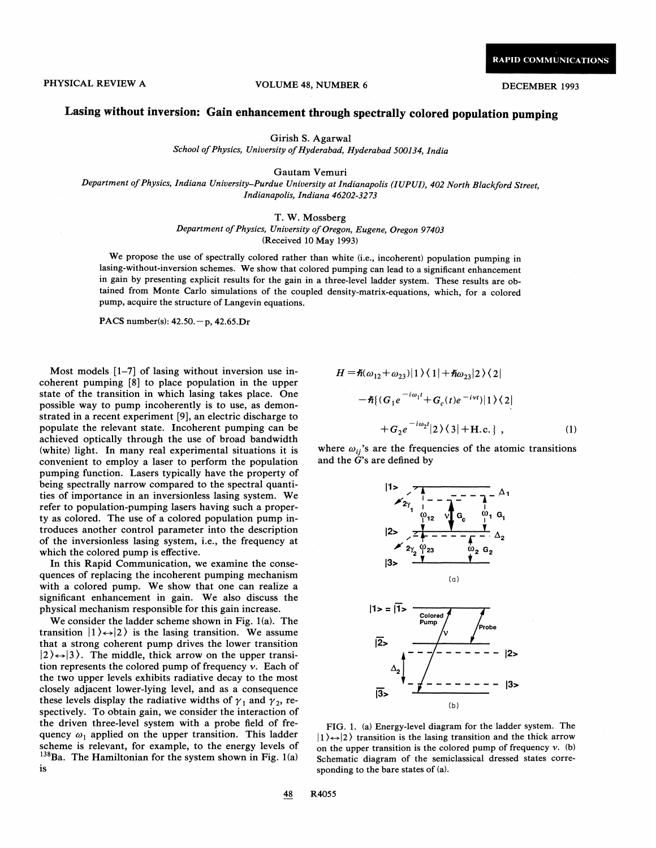## PHYSICAL REVIEW A VOLUME 48, NUMBER 6 DECEMBER 1993

## Lasing without inversion: Gain enhancement through spectrally colored population pumping

Girish S. Agarwal

School of Physics, University of Hyderabad, Hyderabad 500134, India

Gautam Vemuri

Department of Physics, Indiana University-Purdue University at Indianapolis (IUPUI), 402 North Blackford Street, Indianapolis, Indiana 46202-3273

## T. W. Mossberg

Department of Physics, University of Oregon, Eugene, Oregon 97403 (Received 10 May 1993)

We propose the use of spectrally colored rather than white (i.e., incoherent) population pumping in lasing-without-inversion schemes. We show that colored pumping can lead to a significant enhancement in gain by presenting explicit results for the gain in a three-level ladder system. These results are obtained from Monte Carlo simulations of the coupled density-matrix-equations, which, for a colored pump, acquire the structure of Langevin equations.

PACS number(s): 42.50.—p, 42.65.Dr

Most models [1—7] of lasing without inversion use incoherent pumping [8] to place population in the upper state of the transition in which lasing takes place. One possible way to pump incoherently is to use, as demonstrated in a recent experiment [9], an electric discharge to populate the relevant state. Incoherent pumping can be achieved optically through the use of broad bandwidth (white) light. In many real experimental situations it is convenient to employ a laser to perform the population pumping function. Lasers typically have the property of being spectrally narrow compared to the spectral quantities of importance in an inversionless lasing system. We refer to population-pumping lasers having such a property as colored. The use of a colored population pump introduces another control parameter into the description of the inversionless lasing system, i.e., the frequency at which the colored pump is effective.

In this Rapid Communication, we examine the consequences of replacing the incoherent pumping mechanism with a colored pump. We show that one can realize a significant enhancement in gain. We also discuss the physical mechanism responsible for this gain increase.

We consider the ladder scheme shown in Fig. 1(a). The transition  $|1\rangle \leftrightarrow |2\rangle$  is the lasing transition. We assume that a strong coherent pump drives the lower transition  $|2\rangle \leftrightarrow |3\rangle$ . The middle, thick arrow on the upper transition represents the colored pump of frequency  $\nu$ . Each of the two upper levels exhibits radiative decay to the most closely adjacent lower-lying level, and as a consequence these levels display the radiative widths of  $\gamma_1$  and  $\gamma_2$ , respectively. To obtain gain, we consider the interaction of the driven three-level system with a probe field of frequency  $\omega_1$  applied on the upper transition. This ladder scheme is relevant, for example, to the energy levels of  $^{138}$ Ba. The Hamiltonian for the system shown in Fig. 1(a) 1s

$$
H = \hbar(\omega_{12} + \omega_{23})|1\rangle\langle 1| + \hbar\omega_{23}|2\rangle\langle 2|
$$
  
 
$$
- \hbar \{(G_1 e^{-i\omega_1 t} + G_c(t)e^{-i\nu t})|1\rangle\langle 2|
$$
  
 
$$
+ G_2 e^{-i\omega_2 t}|2\rangle\langle 3| + \text{H.c.} \}, \qquad (1)
$$

where  $\omega_{ii}$ 's are the frequencies of the atomic transitions and the  $\ddot{G}$ 's are defined by



FIG. 1. (a) Energy-level diagram for the ladder system. The  $|1\rangle \leftrightarrow |2\rangle$  transition is the lasing transition and the thick arrow on the upper transition is the colored pump of frequency  $v$ . (b) Schematic diagram of the semiclassical dressed states corresponding to the bare states of (a).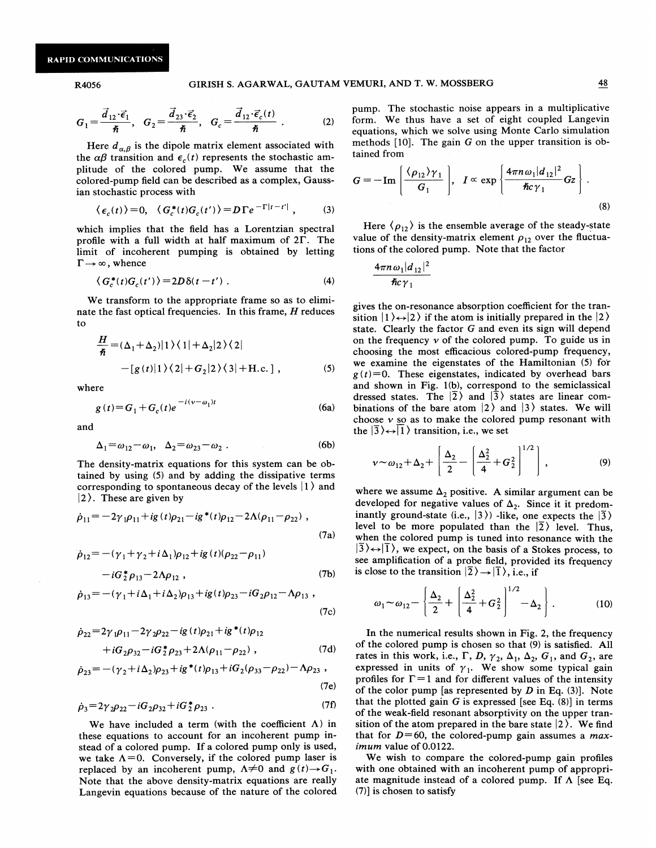$$
G_1 = \frac{\vec{d}_{12} \cdot \vec{\epsilon}_1}{\hbar}, \quad G_2 = \frac{\vec{d}_{23} \cdot \vec{\epsilon}_2}{\hbar}, \quad G_c = \frac{\vec{d}_{12} \cdot \vec{\epsilon}_c(t)}{\hbar} \tag{2}
$$

Here  $d_{\alpha,\beta}$  is the dipole matrix element associated with the  $\alpha\beta$  transition and  $\epsilon_c(t)$  represents the stochastic amplitude of the colored pump. We assume that the colored-pump field can be described as a complex, Gaussian stochastic process with

$$
\langle e_c(t) \rangle = 0, \quad \langle G_c^*(t) G_c(t') \rangle = D \Gamma e^{-\Gamma |t - t'|}, \tag{3}
$$

which implies that the field has a Lorentzian spectral profile with a full width at half maximum of  $2\Gamma$ . The limit of incoherent pumping is obtained by letting  $\Gamma \rightarrow \infty$ , whence

$$
\langle G_c^*(t)G_c(t')\rangle = 2D\delta(t-t') . \tag{4}
$$

We transform to the appropriate frame so as to eliminate the fast optical frequencies. In this frame,  $H$  reduces to

$$
\frac{H}{\hbar} = (\Delta_1 + \Delta_2)|1\rangle\langle 1| + \Delta_2|2\rangle\langle 2|
$$
  
 
$$
-[g(t)|1\rangle\langle 2| + G_2|2\rangle\langle 3| + \text{H.c.}], \qquad (5)
$$

where

$$
g(t) = G_1 + G_c(t)e^{-i(\nu - \omega_1)t}
$$
 (6a)

and

$$
\Delta_1 = \omega_{12} - \omega_1, \quad \Delta_2 = \omega_{23} - \omega_2 \ . \tag{6b}
$$

The density-matrix equations for this system can be obtained by using (5) and by adding the dissipative terms corresponding to spontaneous decay of the levels  $|1\rangle$  and  $|2\rangle$ . These are given by

$$
\dot{\rho}_{11} = -2\gamma_1 \rho_{11} + ig(t)\rho_{21} - ig^*(t)\rho_{12} - 2\Lambda(\rho_{11} - \rho_{22}),
$$
\n(7a)

$$
\dot{\rho}_{12} = -(\gamma_1 + \gamma_2 + i\Delta_1)\rho_{12} + ig(t)(\rho_{22} - \rho_{11})
$$
  
-  $iG_z^* \rho_{13} - 2\Lambda \rho_{12}$ , (7b)

$$
\dot{\rho}_{13} = -(\gamma_1 + i\Delta_1 + i\Delta_2)\rho_{13} + ig(t)\rho_{23} - iG_2\rho_{12} - \Lambda\rho_{13} ,
$$
\n(7c)

$$
\dot{\rho}_{22} = 2\gamma_1 \rho_{11} - 2\gamma_2 \rho_{22} - ig(t)\rho_{21} + ig^*(t)\rho_{12} \n+ iG_2 \rho_{32} - iG_2^* \rho_{23} + 2\Lambda(\rho_{11} - \rho_{22}),
$$
\n(7d)

$$
\dot{\rho}_{23} = -(\gamma_2 + i\Delta_2)\rho_{23} + ig^*(t)\rho_{13} + iG_2(\rho_{33} - \rho_{22}) - \Lambda \rho_{23} ,
$$
\n(7e)

$$
\dot{\rho}_3 = 2\gamma_2 \rho_{22} - iG_2 \rho_{32} + iG_2^* \rho_{23} . \tag{7f}
$$

We have included a term (with the coefficient  $\Lambda$ ) in these equations to account for an incoherent pump instead of a colored pump. If a colored pump only is used, we take  $\Lambda = 0$ . Conversely, if the colored pump laser is replaced by an incoherent pump,  $\Lambda \neq 0$  and  $g(t) \rightarrow G_1$ . Note that the above density-matrix equations are really Langevin equations because of the nature of the colored

pump. The stochastic noise appears in a multiplicative form. We thus have a set of eight coupled Langevin equations, which we solve using Monte Carlo simulation methods  $[10]$ . The gain G on the upper transition is obtained from

$$
G = -\operatorname{Im}\left[\frac{\langle \rho_{12} \rangle \gamma_1}{G_1}\right], \quad I \propto \exp\left\{\frac{4\pi n \omega_1 |d_{12}|^2}{\hbar c \gamma_1} G z\right\}.
$$
\n(8)

Here  $\langle \rho_{12} \rangle$  is the ensemble average of the steady-state value of the density-matrix element  $\rho_{12}$  over the fluctuations of the colored pump. Note that the factor

$$
\frac{4\pi n\omega_1|d_{12}|^2}{\hslash c\gamma_1}
$$

gives the on-resonance absorption coefficient for the transition  $|1\rangle \leftrightarrow |2\rangle$  if the atom is initially prepared in the  $|2\rangle$ state. Clearly the factor G and even its sign will depend on the frequency  $\nu$  of the colored pump. To guide us in choosing the most efficacious colored-pump frequency, we examine the eigenstates of the Hamiltonian (5) for  $g(t)=0$ . These eigenstates, indicated by overhead bars and shown in Fig. 1(b), correspond to the semiclassical dressed states. The  $|2\rangle$  and  $|3\rangle$  states are linear combinations of the bare atom  $|2\rangle$  and  $|3\rangle$  states. We will choose  $\nu$  so as to make the colored pump resonant with the  $|\overline{3}\rangle \leftrightarrow |\overline{1}\rangle$  transition, i.e., we set

$$
v \sim \omega_{12} + \Delta_2 + \left[ \frac{\Delta_2}{2} - \left[ \frac{\Delta_2^2}{4} + G_2^2 \right]^{1/2} \right],
$$
 (9)

where we assume  $\Delta_2$  positive. A similar argument can be developed for negative values of  $\Delta_2$ . Since it it predominantly ground-state (i.e.,  $|3\rangle$ ) -like, one expects the  $|3\rangle$ level to be more populated than the  $|2\rangle$  level. Thus, when the colored pump is tuned into resonance with the  $|\overline{3}\rangle \leftrightarrow |\overline{1}\rangle$ , we expect, on the basis of a Stokes process, to see amplification of a probe field, provided its frequency is close to the transition  $|\overline{2}\rangle \rightarrow |\overline{1}\rangle$ , i.e., if

$$
\omega_1 \sim \omega_{12} - \left\{ \frac{\Delta_2}{2} + \left( \frac{\Delta_2^2}{4} + G_2^2 \right)^{1/2} - \Delta_2 \right\}.
$$
 (10)

In the numerical results shown in Fig. 2, the frequency of the colored pump is chosen so that (9) is satisfied. All rates in this work, i.e.,  $\Gamma$ , D,  $\gamma_2$ ,  $\Delta_1$ ,  $\Delta_2$ ,  $G_1$ , and  $G_2$ , are expressed in units of  $\gamma_1$ . We show some typical gain profiles for  $\Gamma = 1$  and for different values of the intensity of the color pump [as represented by  $D$  in Eq. (3)]. Note that the plotted gain  $G$  is expressed [see Eq.  $(8)$ ] in terms of the weak-field resonant absorptivity on the upper transition of the atom prepared in the bare state  $|2\rangle$ . We find that for  $D=60$ , the colored-pump gain assumes a *max*imum value of 0.0122.

We wish to compare the colored-pump gain profiles with one obtained with an incoherent pump of appropriate magnitude instead of a colored pump. If  $\Lambda$  [see Eq. (7)] is chosen to satisfy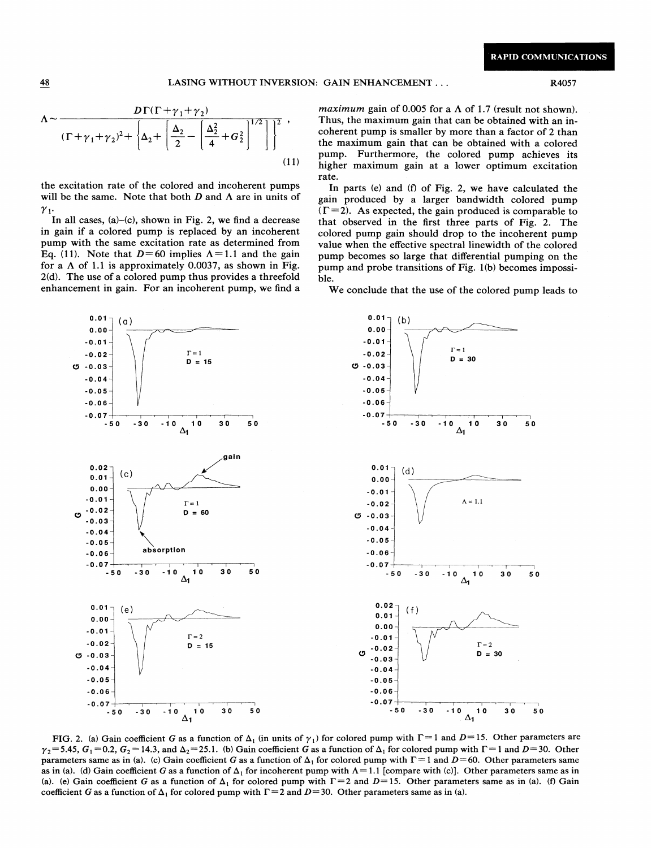$$
\Lambda \sim \frac{D\Gamma(\Gamma + \gamma_1 + \gamma_2)}{(\Gamma + \gamma_1 + \gamma_2)^2 + \left\{\Delta_2 + \left[\frac{\Delta_2}{2} - \left(\frac{\Delta_2^2}{4} + G_2^2\right)^{1/2}\right]\right\}^2},\tag{11}
$$

the excitation rate of the colored and incoherent pumps will be the same. Note that both  $D$  and  $\Lambda$  are in units of  $\gamma_1$ 

In all cases,  $(a)$ – $(c)$ , shown in Fig. 2, we find a decrease in gain if a colored pump is replaced by an incoherent pump with the same excitation rate as determined from Eq. (11). Note that  $D=60$  implies  $\Lambda=1.1$  and the gain for a  $\Lambda$  of 1.1 is approximately 0.0037, as shown in Fig. 2(d). The use of a colored pump thus provides a threefold enhancement in gain. For an incoherent pump, we find a

maximum gain of 0.005 for a  $\Lambda$  of 1.7 (result not shown). Thus, the maximum gain that can be obtained with an incoherent pump is smaller by more than a factor of 2 than the maximum gain that can be obtained with a colored pump. Furthermore, the colored pump achieves its higher maximum gain at a lower optimum excitation rate.

In parts (e) and (f) of Fig. 2, we have calculated the gain produced by a larger bandwidth colored pump  $(\Gamma = 2)$ . As expected, the gain produced is comparable to that observed in the first three parts of Fig. 2. The colored pump gain should drop to the incoherent pump value when the effective spectral linewidth of the colored pump becomes so large that differential pumping on the pump and probe transitions of Fig. 1(b) becomes impossible.

We conclude that the use of the colored pump leads to



FIG. 2. (a) Gain coefficient G as a function of  $\Delta_1$  (in units of  $\gamma_1$ ) for colored pump with  $\Gamma = 1$  and  $D = 15$ . Other parameters are  $\gamma_2$ = 5.45,  $G_1$  = 0.2,  $G_2$  = 14.3, and  $\Delta_2$ = 25.1. (b) Gain coefficient G as a function of  $\Delta_1$  for colored pump with  $\Gamma$  = 1 and D= 30. Other parameters same as in (a). (c) Gain coefficient G as a function of  $\Delta_1$  for colored pump with  $\Gamma = 1$  and  $D = 60$ . Other parameters same as in (a). (d) Gain coefficient G as a function of  $\Delta_1$  for incoherent pump with  $\Lambda = 1.1$  [compare with (c)]. Other parameters same as in (a). (e) Gain coefficient G as a function of  $\Delta_1$  for colored pump with  $\Gamma = 2$  and  $D = 15$ . Other parameters same as in (a). (f) Gain coefficient G as a function of  $\Delta_1$  for colored pump with  $\Gamma = 2$  and  $D = 30$ . Other parameters same as in (a).